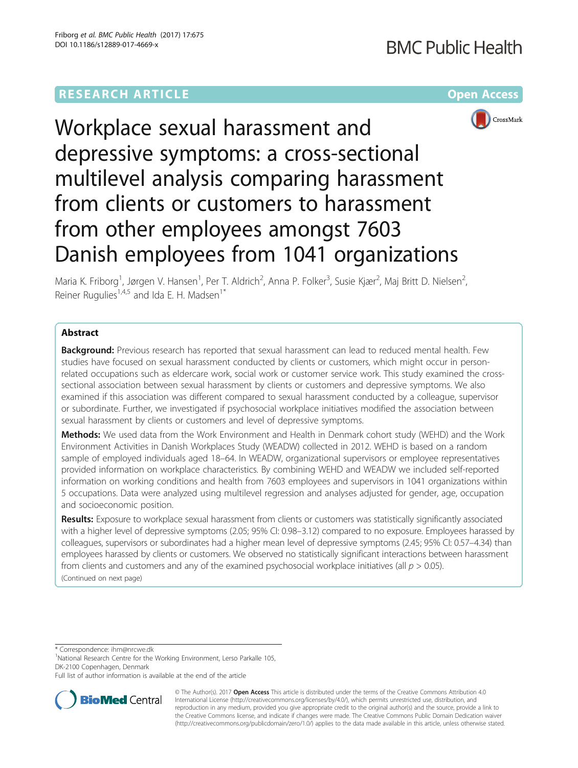# **RESEARCH ARTICLE Example 2014 12:30 The Company Access** (RESEARCH ARTICLE



Workplace sexual harassment and depressive symptoms: a cross-sectional multilevel analysis comparing harassment from clients or customers to harassment from other employees amongst 7603 Danish employees from 1041 organizations

Maria K. Friborg<sup>1</sup>, Jørgen V. Hansen<sup>1</sup>, Per T. Aldrich<sup>2</sup>, Anna P. Folker<sup>3</sup>, Susie Kjær<sup>2</sup>, Maj Britt D. Nielsen<sup>2</sup> .<br>, Reiner Rugulies<sup>1,4,5</sup> and Ida E. H. Madsen<sup>1\*</sup>

# Abstract

**Background:** Previous research has reported that sexual harassment can lead to reduced mental health. Few studies have focused on sexual harassment conducted by clients or customers, which might occur in personrelated occupations such as eldercare work, social work or customer service work. This study examined the crosssectional association between sexual harassment by clients or customers and depressive symptoms. We also examined if this association was different compared to sexual harassment conducted by a colleague, supervisor or subordinate. Further, we investigated if psychosocial workplace initiatives modified the association between sexual harassment by clients or customers and level of depressive symptoms.

Methods: We used data from the Work Environment and Health in Denmark cohort study (WEHD) and the Work Environment Activities in Danish Workplaces Study (WEADW) collected in 2012. WEHD is based on a random sample of employed individuals aged 18–64. In WEADW, organizational supervisors or employee representatives provided information on workplace characteristics. By combining WEHD and WEADW we included self-reported information on working conditions and health from 7603 employees and supervisors in 1041 organizations within 5 occupations. Data were analyzed using multilevel regression and analyses adjusted for gender, age, occupation and socioeconomic position.

Results: Exposure to workplace sexual harassment from clients or customers was statistically significantly associated with a higher level of depressive symptoms (2.05; 95% CI: 0.98–3.12) compared to no exposure. Employees harassed by colleagues, supervisors or subordinates had a higher mean level of depressive symptoms (2.45; 95% CI: 0.57–4.34) than employees harassed by clients or customers. We observed no statistically significant interactions between harassment from clients and customers and any of the examined psychosocial workplace initiatives (all  $p > 0.05$ ). (Continued on next page)

\* Correspondence: [ihm@nrcwe.dk](mailto:ihm@nrcwe.dk) <sup>1</sup>

<sup>1</sup>National Research Centre for the Working Environment, Lerso Parkalle 105, DK-2100 Copenhagen, Denmark

Full list of author information is available at the end of the article



© The Author(s). 2017 **Open Access** This article is distributed under the terms of the Creative Commons Attribution 4.0 International License [\(http://creativecommons.org/licenses/by/4.0/](http://creativecommons.org/licenses/by/4.0/)), which permits unrestricted use, distribution, and reproduction in any medium, provided you give appropriate credit to the original author(s) and the source, provide a link to the Creative Commons license, and indicate if changes were made. The Creative Commons Public Domain Dedication waiver [\(http://creativecommons.org/publicdomain/zero/1.0/](http://creativecommons.org/publicdomain/zero/1.0/)) applies to the data made available in this article, unless otherwise stated.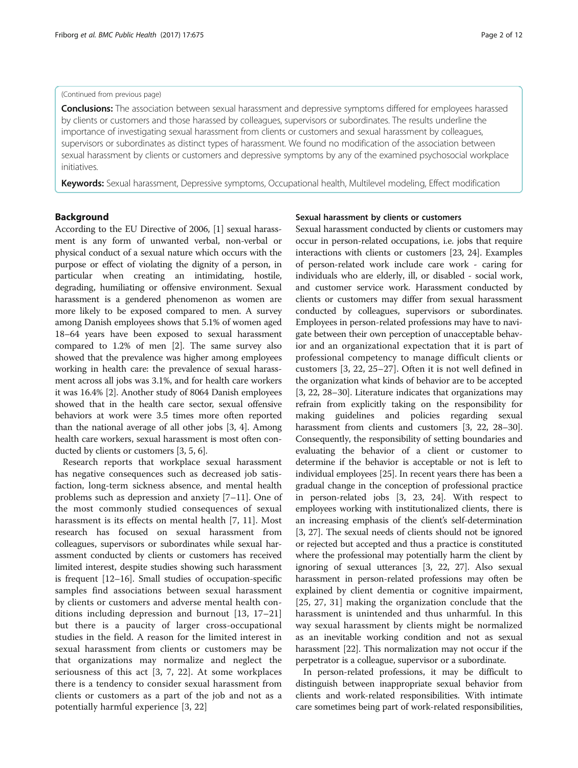# (Continued from previous page)

**Conclusions:** The association between sexual harassment and depressive symptoms differed for employees harassed by clients or customers and those harassed by colleagues, supervisors or subordinates. The results underline the importance of investigating sexual harassment from clients or customers and sexual harassment by colleagues, supervisors or subordinates as distinct types of harassment. We found no modification of the association between sexual harassment by clients or customers and depressive symptoms by any of the examined psychosocial workplace initiatives.

Keywords: Sexual harassment, Depressive symptoms, Occupational health, Multilevel modeling, Effect modification

# Background

According to the EU Directive of 2006, [[1\]](#page-10-0) sexual harassment is any form of unwanted verbal, non-verbal or physical conduct of a sexual nature which occurs with the purpose or effect of violating the dignity of a person, in particular when creating an intimidating, hostile, degrading, humiliating or offensive environment. Sexual harassment is a gendered phenomenon as women are more likely to be exposed compared to men. A survey among Danish employees shows that 5.1% of women aged 18–64 years have been exposed to sexual harassment compared to 1.2% of men [\[2](#page-10-0)]. The same survey also showed that the prevalence was higher among employees working in health care: the prevalence of sexual harassment across all jobs was 3.1%, and for health care workers it was 16.4% [\[2\]](#page-10-0). Another study of 8064 Danish employees showed that in the health care sector, sexual offensive behaviors at work were 3.5 times more often reported than the national average of all other jobs [\[3](#page-10-0), [4\]](#page-10-0). Among health care workers, sexual harassment is most often conducted by clients or customers [[3, 5](#page-10-0), [6\]](#page-10-0).

Research reports that workplace sexual harassment has negative consequences such as decreased job satisfaction, long-term sickness absence, and mental health problems such as depression and anxiety [\[7](#page-10-0)–[11](#page-10-0)]. One of the most commonly studied consequences of sexual harassment is its effects on mental health [[7, 11](#page-10-0)]. Most research has focused on sexual harassment from colleagues, supervisors or subordinates while sexual harassment conducted by clients or customers has received limited interest, despite studies showing such harassment is frequent [\[12](#page-10-0)–[16](#page-10-0)]. Small studies of occupation-specific samples find associations between sexual harassment by clients or customers and adverse mental health conditions including depression and burnout [\[13](#page-10-0), [17](#page-10-0)–[21](#page-10-0)] but there is a paucity of larger cross-occupational studies in the field. A reason for the limited interest in sexual harassment from clients or customers may be that organizations may normalize and neglect the seriousness of this act [\[3](#page-10-0), [7, 22](#page-10-0)]. At some workplaces there is a tendency to consider sexual harassment from clients or customers as a part of the job and not as a potentially harmful experience [\[3](#page-10-0), [22](#page-10-0)]

# Sexual harassment by clients or customers

Sexual harassment conducted by clients or customers may occur in person-related occupations, i.e. jobs that require interactions with clients or customers [\[23](#page-10-0), [24](#page-10-0)]. Examples of person-related work include care work - caring for individuals who are elderly, ill, or disabled - social work, and customer service work. Harassment conducted by clients or customers may differ from sexual harassment conducted by colleagues, supervisors or subordinates. Employees in person-related professions may have to navigate between their own perception of unacceptable behavior and an organizational expectation that it is part of professional competency to manage difficult clients or customers [[3, 22](#page-10-0), [25](#page-10-0)–[27\]](#page-10-0). Often it is not well defined in the organization what kinds of behavior are to be accepted [[3, 22](#page-10-0), [28](#page-10-0)–[30\]](#page-10-0). Literature indicates that organizations may refrain from explicitly taking on the responsibility for making guidelines and policies regarding sexual harassment from clients and customers [[3](#page-10-0), [22](#page-10-0), [28](#page-10-0)–[30](#page-10-0)]. Consequently, the responsibility of setting boundaries and evaluating the behavior of a client or customer to determine if the behavior is acceptable or not is left to individual employees [\[25\]](#page-10-0). In recent years there has been a gradual change in the conception of professional practice in person-related jobs [\[3](#page-10-0), [23](#page-10-0), [24](#page-10-0)]. With respect to employees working with institutionalized clients, there is an increasing emphasis of the client's self-determination [[3, 27\]](#page-10-0). The sexual needs of clients should not be ignored or rejected but accepted and thus a practice is constituted where the professional may potentially harm the client by ignoring of sexual utterances [[3, 22](#page-10-0), [27\]](#page-10-0). Also sexual harassment in person-related professions may often be explained by client dementia or cognitive impairment, [[25, 27, 31\]](#page-10-0) making the organization conclude that the harassment is unintended and thus unharmful. In this way sexual harassment by clients might be normalized as an inevitable working condition and not as sexual harassment [[22](#page-10-0)]. This normalization may not occur if the perpetrator is a colleague, supervisor or a subordinate.

In person-related professions, it may be difficult to distinguish between inappropriate sexual behavior from clients and work-related responsibilities. With intimate care sometimes being part of work-related responsibilities,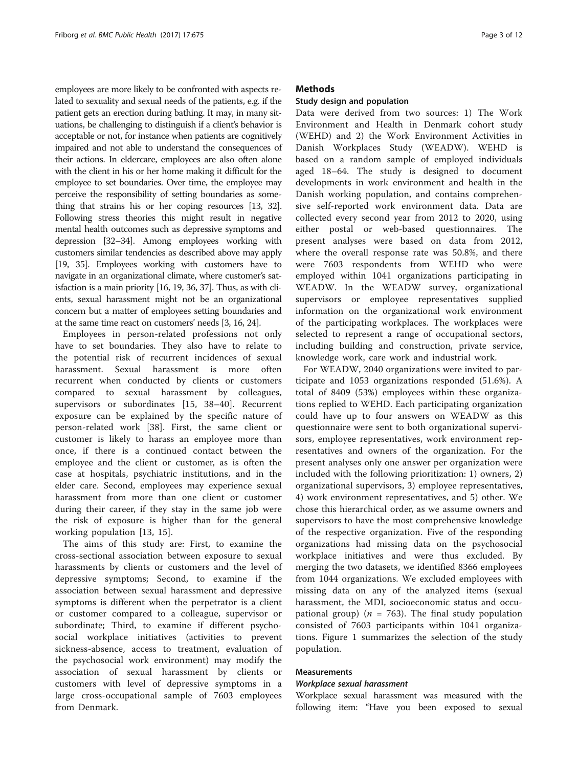employees are more likely to be confronted with aspects related to sexuality and sexual needs of the patients, e.g. if the patient gets an erection during bathing. It may, in many situations, be challenging to distinguish if a client's behavior is acceptable or not, for instance when patients are cognitively impaired and not able to understand the consequences of their actions. In eldercare, employees are also often alone with the client in his or her home making it difficult for the employee to set boundaries. Over time, the employee may perceive the responsibility of setting boundaries as something that strains his or her coping resources [\[13, 32](#page-10-0)]. Following stress theories this might result in negative mental health outcomes such as depressive symptoms and depression [\[32](#page-10-0)–[34](#page-10-0)]. Among employees working with customers similar tendencies as described above may apply [[19](#page-10-0), [35](#page-10-0)]. Employees working with customers have to navigate in an organizational climate, where customer's satisfaction is a main priority [\[16](#page-10-0), [19](#page-10-0), [36](#page-10-0), [37](#page-10-0)]. Thus, as with clients, sexual harassment might not be an organizational concern but a matter of employees setting boundaries and at the same time react on customers' needs [\[3, 16, 24](#page-10-0)].

Employees in person-related professions not only have to set boundaries. They also have to relate to the potential risk of recurrent incidences of sexual harassment. Sexual harassment is more often recurrent when conducted by clients or customers compared to sexual harassment by colleagues, supervisors or subordinates [[15, 38](#page-10-0)–[40](#page-11-0)]. Recurrent exposure can be explained by the specific nature of person-related work [\[38](#page-10-0)]. First, the same client or customer is likely to harass an employee more than once, if there is a continued contact between the employee and the client or customer, as is often the case at hospitals, psychiatric institutions, and in the elder care. Second, employees may experience sexual harassment from more than one client or customer during their career, if they stay in the same job were the risk of exposure is higher than for the general working population [[13, 15\]](#page-10-0).

The aims of this study are: First, to examine the cross-sectional association between exposure to sexual harassments by clients or customers and the level of depressive symptoms; Second, to examine if the association between sexual harassment and depressive symptoms is different when the perpetrator is a client or customer compared to a colleague, supervisor or subordinate; Third, to examine if different psychosocial workplace initiatives (activities to prevent sickness-absence, access to treatment, evaluation of the psychosocial work environment) may modify the association of sexual harassment by clients or customers with level of depressive symptoms in a large cross-occupational sample of 7603 employees from Denmark.

# **Methods**

## Study design and population

Data were derived from two sources: 1) The Work Environment and Health in Denmark cohort study (WEHD) and 2) the Work Environment Activities in Danish Workplaces Study (WEADW). WEHD is based on a random sample of employed individuals aged 18–64. The study is designed to document developments in work environment and health in the Danish working population, and contains comprehensive self-reported work environment data. Data are collected every second year from 2012 to 2020, using either postal or web-based questionnaires. The present analyses were based on data from 2012, where the overall response rate was 50.8%, and there were 7603 respondents from WEHD who were employed within 1041 organizations participating in WEADW. In the WEADW survey, organizational supervisors or employee representatives supplied information on the organizational work environment of the participating workplaces. The workplaces were selected to represent a range of occupational sectors, including building and construction, private service, knowledge work, care work and industrial work.

For WEADW, 2040 organizations were invited to participate and 1053 organizations responded (51.6%). A total of 8409 (53%) employees within these organizations replied to WEHD. Each participating organization could have up to four answers on WEADW as this questionnaire were sent to both organizational supervisors, employee representatives, work environment representatives and owners of the organization. For the present analyses only one answer per organization were included with the following prioritization: 1) owners, 2) organizational supervisors, 3) employee representatives, 4) work environment representatives, and 5) other. We chose this hierarchical order, as we assume owners and supervisors to have the most comprehensive knowledge of the respective organization. Five of the responding organizations had missing data on the psychosocial workplace initiatives and were thus excluded. By merging the two datasets, we identified 8366 employees from 1044 organizations. We excluded employees with missing data on any of the analyzed items (sexual harassment, the MDI, socioeconomic status and occupational group) ( $n = 763$ ). The final study population consisted of 7603 participants within 1041 organizations. Figure [1](#page-3-0) summarizes the selection of the study population.

# Measurements

# Workplace sexual harassment

Workplace sexual harassment was measured with the following item: "Have you been exposed to sexual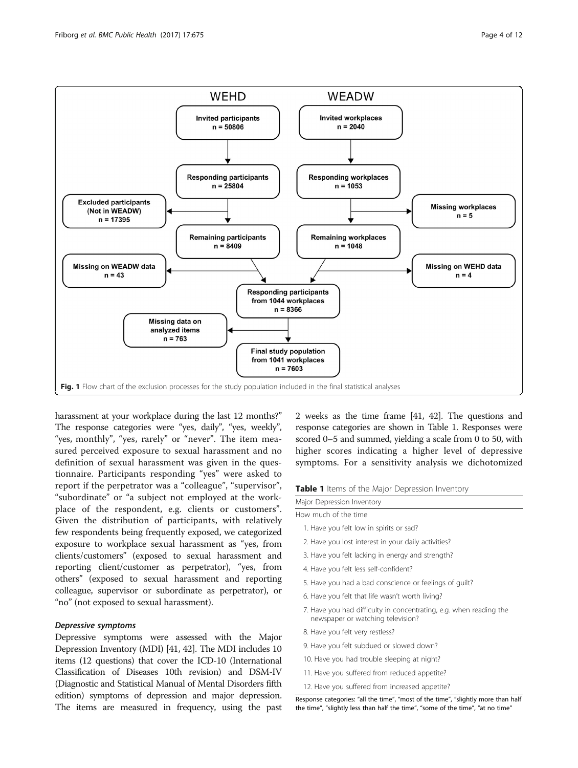<span id="page-3-0"></span>

harassment at your workplace during the last 12 months?" The response categories were "yes, daily", "yes, weekly", "yes, monthly", "yes, rarely" or "never". The item measured perceived exposure to sexual harassment and no definition of sexual harassment was given in the questionnaire. Participants responding "yes" were asked to report if the perpetrator was a "colleague", "supervisor", "subordinate" or "a subject not employed at the workplace of the respondent, e.g. clients or customers". Given the distribution of participants, with relatively few respondents being frequently exposed, we categorized exposure to workplace sexual harassment as "yes, from clients/customers" (exposed to sexual harassment and reporting client/customer as perpetrator), "yes, from others" (exposed to sexual harassment and reporting colleague, supervisor or subordinate as perpetrator), or "no" (not exposed to sexual harassment).

# Depressive symptoms

Depressive symptoms were assessed with the Major Depression Inventory (MDI) [\[41, 42\]](#page-11-0). The MDI includes 10 items (12 questions) that cover the ICD-10 (International Classification of Diseases 10th revision) and DSM-IV (Diagnostic and Statistical Manual of Mental Disorders fifth edition) symptoms of depression and major depression. The items are measured in frequency, using the past 2 weeks as the time frame [[41](#page-11-0), [42\]](#page-11-0). The questions and response categories are shown in Table 1. Responses were scored 0–5 and summed, yielding a scale from 0 to 50, with higher scores indicating a higher level of depressive symptoms. For a sensitivity analysis we dichotomized

Table 1 Items of the Major Depression Inventory

| Major Depression Inventory                                                                              |  |  |  |  |  |  |
|---------------------------------------------------------------------------------------------------------|--|--|--|--|--|--|
| How much of the time                                                                                    |  |  |  |  |  |  |
| 1. Have you felt low in spirits or sad?                                                                 |  |  |  |  |  |  |
| 2. Have you lost interest in your daily activities?                                                     |  |  |  |  |  |  |
| 3. Have you felt lacking in energy and strength?                                                        |  |  |  |  |  |  |
| 4. Have you felt less self-confident?                                                                   |  |  |  |  |  |  |
| 5. Have you had a bad conscience or feelings of quilt?                                                  |  |  |  |  |  |  |
| 6. Have you felt that life wasn't worth living?                                                         |  |  |  |  |  |  |
| 7. Have you had difficulty in concentrating, e.g. when reading the<br>newspaper or watching television? |  |  |  |  |  |  |
| 8. Have you felt very restless?                                                                         |  |  |  |  |  |  |
| 9. Have you felt subdued or slowed down?                                                                |  |  |  |  |  |  |
| 10. Have you had trouble sleeping at night?                                                             |  |  |  |  |  |  |

- 
- 11. Have you suffered from reduced appetite?
- 12. Have you suffered from increased appetite?

Response categories: "all the time", "most of the time", "slightly more than half the time", "slightly less than half the time", "some of the time", "at no time"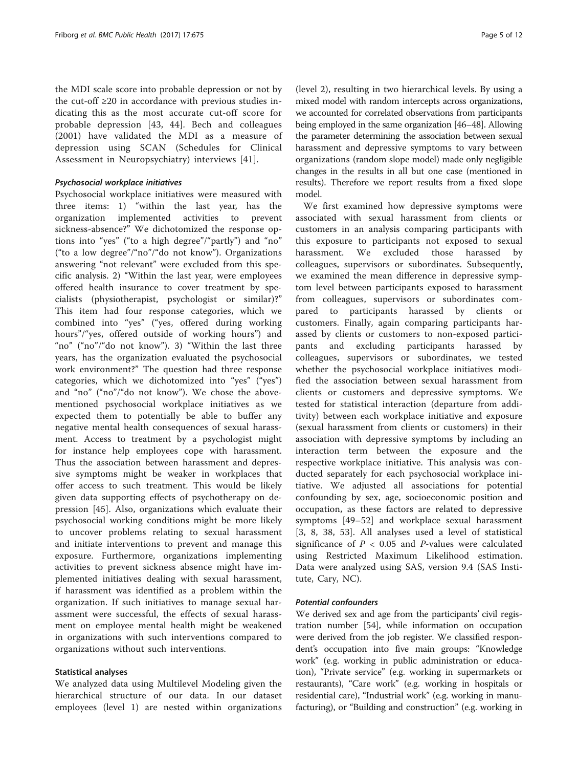the MDI scale score into probable depression or not by the cut-off ≥20 in accordance with previous studies indicating this as the most accurate cut-off score for probable depression [[43](#page-11-0), [44](#page-11-0)]. Bech and colleagues (2001) have validated the MDI as a measure of depression using SCAN (Schedules for Clinical Assessment in Neuropsychiatry) interviews [[41\]](#page-11-0).

# Psychosocial workplace initiatives

Psychosocial workplace initiatives were measured with three items: 1) "within the last year, has the organization implemented activities to prevent sickness-absence?" We dichotomized the response options into "yes" ("to a high degree"/"partly") and "no" ("to a low degree"/"no"/"do not know"). Organizations answering "not relevant" were excluded from this specific analysis. 2) "Within the last year, were employees offered health insurance to cover treatment by specialists (physiotherapist, psychologist or similar)?" This item had four response categories, which we combined into "yes" ("yes, offered during working hours"/"yes, offered outside of working hours") and "no" ("no"/"do not know"). 3) "Within the last three years, has the organization evaluated the psychosocial work environment?" The question had three response categories, which we dichotomized into "yes" ("yes") and "no" ("no"/"do not know"). We chose the abovementioned psychosocial workplace initiatives as we expected them to potentially be able to buffer any negative mental health consequences of sexual harassment. Access to treatment by a psychologist might for instance help employees cope with harassment. Thus the association between harassment and depressive symptoms might be weaker in workplaces that offer access to such treatment. This would be likely given data supporting effects of psychotherapy on depression [[45\]](#page-11-0). Also, organizations which evaluate their psychosocial working conditions might be more likely to uncover problems relating to sexual harassment and initiate interventions to prevent and manage this exposure. Furthermore, organizations implementing activities to prevent sickness absence might have implemented initiatives dealing with sexual harassment, if harassment was identified as a problem within the organization. If such initiatives to manage sexual harassment were successful, the effects of sexual harassment on employee mental health might be weakened in organizations with such interventions compared to organizations without such interventions.

# Statistical analyses

We analyzed data using Multilevel Modeling given the hierarchical structure of our data. In our dataset employees (level 1) are nested within organizations (level 2), resulting in two hierarchical levels. By using a mixed model with random intercepts across organizations, we accounted for correlated observations from participants being employed in the same organization [\[46](#page-11-0)–[48\]](#page-11-0). Allowing the parameter determining the association between sexual harassment and depressive symptoms to vary between organizations (random slope model) made only negligible changes in the results in all but one case (mentioned in results). Therefore we report results from a fixed slope model.

We first examined how depressive symptoms were associated with sexual harassment from clients or customers in an analysis comparing participants with this exposure to participants not exposed to sexual harassment. We excluded those harassed by colleagues, supervisors or subordinates. Subsequently, we examined the mean difference in depressive symptom level between participants exposed to harassment from colleagues, supervisors or subordinates compared to participants harassed by clients or customers. Finally, again comparing participants harassed by clients or customers to non-exposed participants and excluding participants harassed by colleagues, supervisors or subordinates, we tested whether the psychosocial workplace initiatives modified the association between sexual harassment from clients or customers and depressive symptoms. We tested for statistical interaction (departure from additivity) between each workplace initiative and exposure (sexual harassment from clients or customers) in their association with depressive symptoms by including an interaction term between the exposure and the respective workplace initiative. This analysis was conducted separately for each psychosocial workplace initiative. We adjusted all associations for potential confounding by sex, age, socioeconomic position and occupation, as these factors are related to depressive symptoms [\[49](#page-11-0)–[52](#page-11-0)] and workplace sexual harassment [[3, 8](#page-10-0), [38,](#page-10-0) [53\]](#page-11-0). All analyses used a level of statistical significance of  $P < 0.05$  and P-values were calculated using Restricted Maximum Likelihood estimation. Data were analyzed using SAS, version 9.4 (SAS Institute, Cary, NC).

# Potential confounders

We derived sex and age from the participants' civil registration number [[54](#page-11-0)], while information on occupation were derived from the job register. We classified respondent's occupation into five main groups: "Knowledge work" (e.g. working in public administration or education), "Private service" (e.g. working in supermarkets or restaurants), "Care work" (e.g. working in hospitals or residential care), "Industrial work" (e.g. working in manufacturing), or "Building and construction" (e.g. working in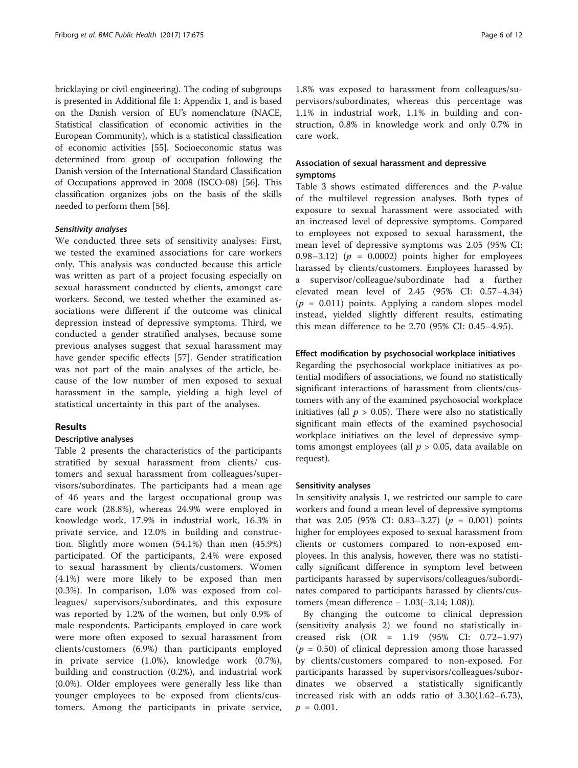bricklaying or civil engineering). The coding of subgroups is presented in Additional file [1:](#page-9-0) Appendix 1, and is based on the Danish version of EU's nomenclature (NACE, Statistical classification of economic activities in the European Community), which is a statistical classification of economic activities [\[55\]](#page-11-0). Socioeconomic status was determined from group of occupation following the Danish version of the International Standard Classification of Occupations approved in 2008 (ISCO-08) [\[56\]](#page-11-0). This classification organizes jobs on the basis of the skills needed to perform them [\[56\]](#page-11-0).

#### Sensitivity analyses

We conducted three sets of sensitivity analyses: First, we tested the examined associations for care workers only. This analysis was conducted because this article was written as part of a project focusing especially on sexual harassment conducted by clients, amongst care workers. Second, we tested whether the examined associations were different if the outcome was clinical depression instead of depressive symptoms. Third, we conducted a gender stratified analyses, because some previous analyses suggest that sexual harassment may have gender specific effects [[57\]](#page-11-0). Gender stratification was not part of the main analyses of the article, because of the low number of men exposed to sexual harassment in the sample, yielding a high level of statistical uncertainty in this part of the analyses.

### Results

### Descriptive analyses

Table [2](#page-6-0) presents the characteristics of the participants stratified by sexual harassment from clients/ customers and sexual harassment from colleagues/supervisors/subordinates. The participants had a mean age of 46 years and the largest occupational group was care work (28.8%), whereas 24.9% were employed in knowledge work, 17.9% in industrial work, 16.3% in private service, and 12.0% in building and construction. Slightly more women (54.1%) than men (45.9%) participated. Of the participants, 2.4% were exposed to sexual harassment by clients/customers. Women (4.1%) were more likely to be exposed than men (0.3%). In comparison, 1.0% was exposed from colleagues/ supervisors/subordinates, and this exposure was reported by 1.2% of the women, but only 0.9% of male respondents. Participants employed in care work were more often exposed to sexual harassment from clients/customers (6.9%) than participants employed in private service (1.0%), knowledge work (0.7%), building and construction (0.2%), and industrial work (0.0%). Older employees were generally less like than younger employees to be exposed from clients/customers. Among the participants in private service,

1.8% was exposed to harassment from colleagues/supervisors/subordinates, whereas this percentage was 1.1% in industrial work, 1.1% in building and construction, 0.8% in knowledge work and only 0.7% in care work.

# Association of sexual harassment and depressive symptoms

Table [3](#page-7-0) shows estimated differences and the P-value of the multilevel regression analyses. Both types of exposure to sexual harassment were associated with an increased level of depressive symptoms. Compared to employees not exposed to sexual harassment, the mean level of depressive symptoms was 2.05 (95% CI: 0.98–3.12) ( $p = 0.0002$ ) points higher for employees harassed by clients/customers. Employees harassed by a supervisor/colleague/subordinate had a further elevated mean level of 2.45 (95% CI: 0.57–4.34)  $(p = 0.011)$  points. Applying a random slopes model instead, yielded slightly different results, estimating this mean difference to be 2.70 (95% CI: 0.45–4.95).

# Effect modification by psychosocial workplace initiatives

Regarding the psychosocial workplace initiatives as potential modifiers of associations, we found no statistically significant interactions of harassment from clients/customers with any of the examined psychosocial workplace initiatives (all  $p > 0.05$ ). There were also no statistically significant main effects of the examined psychosocial workplace initiatives on the level of depressive symptoms amongst employees (all  $p > 0.05$ , data available on request).

# Sensitivity analyses

In sensitivity analysis 1, we restricted our sample to care workers and found a mean level of depressive symptoms that was 2.05 (95% CI: 0.83–3.27) ( $p = 0.001$ ) points higher for employees exposed to sexual harassment from clients or customers compared to non-exposed employees. In this analysis, however, there was no statistically significant difference in symptom level between participants harassed by supervisors/colleagues/subordinates compared to participants harassed by clients/customers (mean difference − 1.03(−3.14; 1.08)).

By changing the outcome to clinical depression (sensitivity analysis 2) we found no statistically increased risk (OR = 1.19 (95% CI: 0.72–1.97)  $(p = 0.50)$  of clinical depression among those harassed by clients/customers compared to non-exposed. For participants harassed by supervisors/colleagues/subordinates we observed a statistically significantly increased risk with an odds ratio of 3.30(1.62–6.73),  $p = 0.001$ .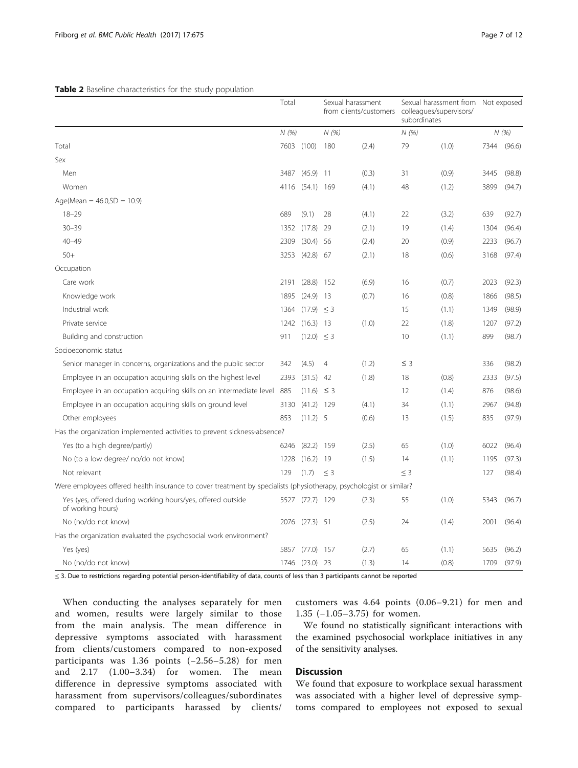# <span id="page-6-0"></span>Table 2 Baseline characteristics for the study population

|                                                                                                                    | Total |                 | Sexual harassment<br>from clients/customers |       | Sexual harassment from<br>colleagues/supervisors/<br>subordinates |       | Not exposed |        |
|--------------------------------------------------------------------------------------------------------------------|-------|-----------------|---------------------------------------------|-------|-------------------------------------------------------------------|-------|-------------|--------|
|                                                                                                                    | N(%)  |                 | N(%)                                        |       | N(%)                                                              |       |             | N(%)   |
| Total                                                                                                              |       | 7603 (100)      | 180                                         | (2.4) | 79                                                                | (1.0) | 7344        | (96.6) |
| Sex                                                                                                                |       |                 |                                             |       |                                                                   |       |             |        |
| Men                                                                                                                |       | 3487 (45.9) 11  |                                             | (0.3) | 31                                                                | (0.9) | 3445        | (98.8) |
| Women                                                                                                              |       | 4116 (54.1) 169 |                                             | (4.1) | 48                                                                | (1.2) | 3899        | (94.7) |
| Age(Mean = $46.0, SD = 10.9$ )                                                                                     |       |                 |                                             |       |                                                                   |       |             |        |
| $18 - 29$                                                                                                          | 689   | (9.1)           | 28                                          | (4.1) | 22                                                                | (3.2) | 639         | (92.7) |
| $30 - 39$                                                                                                          |       | 1352 (17.8) 29  |                                             | (2.1) | 19                                                                | (1.4) | 1304        | (96.4) |
| $40 - 49$                                                                                                          | 2309  | $(30.4)$ 56     |                                             | (2.4) | 20                                                                | (0.9) | 2233        | (96.7) |
| $50+$                                                                                                              |       | 3253 (42.8) 67  |                                             | (2.1) | 18                                                                | (0.6) | 3168        | (97.4) |
| Occupation                                                                                                         |       |                 |                                             |       |                                                                   |       |             |        |
| Care work                                                                                                          |       | 2191 (28.8) 152 |                                             | (6.9) | 16                                                                | (0.7) | 2023        | (92.3) |
| Knowledge work                                                                                                     | 1895  | $(24.9)$ 13     |                                             | (0.7) | 16                                                                | (0.8) | 1866        | (98.5) |
| Industrial work                                                                                                    | 1364  | $(17.9) \leq 3$ |                                             |       | 15                                                                | (1.1) | 1349        | (98.9) |
| Private service                                                                                                    | 1242  | $(16.3)$ 13     |                                             | (1.0) | 22                                                                | (1.8) | 1207        | (97.2) |
| Building and construction                                                                                          | 911   | $(12.0) \leq 3$ |                                             |       | 10                                                                | (1.1) | 899         | (98.7) |
| Socioeconomic status                                                                                               |       |                 |                                             |       |                                                                   |       |             |        |
| Senior manager in concerns, organizations and the public sector                                                    | 342   | (4.5)           | $\overline{4}$                              | (1.2) | $\leq$ 3                                                          |       | 336         | (98.2) |
| Employee in an occupation acquiring skills on the highest level                                                    | 2393  | $(31.5)$ 42     |                                             | (1.8) | 18                                                                | (0.8) | 2333        | (97.5) |
| Employee in an occupation acquiring skills on an intermediate level                                                | 885   | $(11.6) \leq 3$ |                                             |       | 12                                                                | (1.4) | 876         | (98.6) |
| Employee in an occupation acquiring skills on ground level                                                         | 3130  | $(41.2)$ 129    |                                             | (4.1) | 34                                                                | (1.1) | 2967        | (94.8) |
| Other employees                                                                                                    | 853   | (11.2) 5        |                                             | (0.6) | 13                                                                | (1.5) | 835         | (97.9) |
| Has the organization implemented activities to prevent sickness-absence?                                           |       |                 |                                             |       |                                                                   |       |             |        |
| Yes (to a high degree/partly)                                                                                      | 6246  | (82.2)          | 159                                         | (2.5) | 65                                                                | (1.0) | 6022        | (96.4) |
| No (to a low degree/ no/do not know)                                                                               | 1228  | $(16.2)$ 19     |                                             | (1.5) | 14                                                                | (1.1) | 1195        | (97.3) |
| Not relevant                                                                                                       | 129   | (1.7)           | $\leq$ 3                                    |       | $\leq 3$                                                          |       | 127         | (98.4) |
| Were employees offered health insurance to cover treatment by specialists (physiotherapy, psychologist or similar? |       |                 |                                             |       |                                                                   |       |             |        |
| Yes (yes, offered during working hours/yes, offered outside<br>of working hours)                                   |       | 5527 (72.7) 129 |                                             | (2.3) | 55                                                                | (1.0) | 5343        | (96.7) |
| No (no/do not know)                                                                                                |       | 2076 (27.3) 51  |                                             | (2.5) | 24                                                                | (1.4) | 2001        | (96.4) |
| Has the organization evaluated the psychosocial work environment?                                                  |       |                 |                                             |       |                                                                   |       |             |        |
| Yes (yes)                                                                                                          | 5857  | $(77.0)$ 157    |                                             | (2.7) | 65                                                                | (1.1) | 5635        | (96.2) |
| No (no/do not know)                                                                                                | 1746  | $(23.0)$ 23     |                                             | (1.3) | 14                                                                | (0.8) | 1709        | (97.9) |

≤ 3. Due to restrictions regarding potential person-identifiability of data, counts of less than 3 participants cannot be reported

When conducting the analyses separately for men and women, results were largely similar to those from the main analysis. The mean difference in depressive symptoms associated with harassment from clients/customers compared to non-exposed participants was 1.36 points (−2.56–5.28) for men and 2.17 (1.00–3.34) for women. The mean difference in depressive symptoms associated with harassment from supervisors/colleagues/subordinates compared to participants harassed by clients/

customers was 4.64 points (0.06–9.21) for men and 1.35 (−1.05–3.75) for women.

We found no statistically significant interactions with the examined psychosocial workplace initiatives in any of the sensitivity analyses.

# **Discussion**

We found that exposure to workplace sexual harassment was associated with a higher level of depressive symptoms compared to employees not exposed to sexual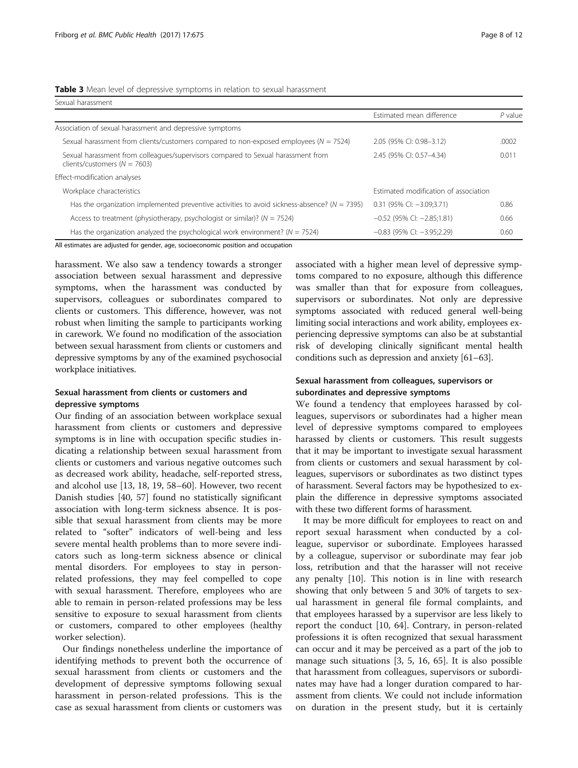<span id="page-7-0"></span>

| Sexual harassment                                                                                |           |  |  |  |  |  |  |  |
|--------------------------------------------------------------------------------------------------|-----------|--|--|--|--|--|--|--|
| Estimated mean difference                                                                        | $P$ value |  |  |  |  |  |  |  |
|                                                                                                  |           |  |  |  |  |  |  |  |
| 2.05 (95% CI: 0.98-3.12)                                                                         | .0002     |  |  |  |  |  |  |  |
| 2.45 (95% CI: 0.57-4.34)                                                                         | 0.011     |  |  |  |  |  |  |  |
|                                                                                                  |           |  |  |  |  |  |  |  |
| Estimated modification of association                                                            |           |  |  |  |  |  |  |  |
| $0.31$ (95% CI: $-3.09:3.71$ )                                                                   | 0.86      |  |  |  |  |  |  |  |
| $-0.52$ (95% CI: $-2.85;1.81$ )                                                                  | 0.66      |  |  |  |  |  |  |  |
| $-0.83$ (95% CI: $-3.95;2.29$ )                                                                  | 0.60      |  |  |  |  |  |  |  |
| Has the organization implemented preventive activities to avoid sickness-absence? ( $N = 7395$ ) |           |  |  |  |  |  |  |  |

All estimates are adjusted for gender, age, socioeconomic position and occupation

harassment. We also saw a tendency towards a stronger association between sexual harassment and depressive symptoms, when the harassment was conducted by supervisors, colleagues or subordinates compared to clients or customers. This difference, however, was not robust when limiting the sample to participants working in carework. We found no modification of the association between sexual harassment from clients or customers and depressive symptoms by any of the examined psychosocial workplace initiatives.

# Sexual harassment from clients or customers and depressive symptoms

Our finding of an association between workplace sexual harassment from clients or customers and depressive symptoms is in line with occupation specific studies indicating a relationship between sexual harassment from clients or customers and various negative outcomes such as decreased work ability, headache, self-reported stress, and alcohol use [[13, 18, 19,](#page-10-0) [58](#page-11-0)–[60](#page-11-0)]. However, two recent Danish studies [[40](#page-11-0), [57](#page-11-0)] found no statistically significant association with long-term sickness absence. It is possible that sexual harassment from clients may be more related to "softer" indicators of well-being and less severe mental health problems than to more severe indicators such as long-term sickness absence or clinical mental disorders. For employees to stay in personrelated professions, they may feel compelled to cope with sexual harassment. Therefore, employees who are able to remain in person-related professions may be less sensitive to exposure to sexual harassment from clients or customers, compared to other employees (healthy worker selection).

Our findings nonetheless underline the importance of identifying methods to prevent both the occurrence of sexual harassment from clients or customers and the development of depressive symptoms following sexual harassment in person-related professions. This is the case as sexual harassment from clients or customers was

associated with a higher mean level of depressive symptoms compared to no exposure, although this difference was smaller than that for exposure from colleagues, supervisors or subordinates. Not only are depressive symptoms associated with reduced general well-being limiting social interactions and work ability, employees experiencing depressive symptoms can also be at substantial risk of developing clinically significant mental health conditions such as depression and anxiety [\[61](#page-11-0)–[63](#page-11-0)].

# Sexual harassment from colleagues, supervisors or subordinates and depressive symptoms

We found a tendency that employees harassed by colleagues, supervisors or subordinates had a higher mean level of depressive symptoms compared to employees harassed by clients or customers. This result suggests that it may be important to investigate sexual harassment from clients or customers and sexual harassment by colleagues, supervisors or subordinates as two distinct types of harassment. Several factors may be hypothesized to explain the difference in depressive symptoms associated with these two different forms of harassment.

It may be more difficult for employees to react on and report sexual harassment when conducted by a colleague, supervisor or subordinate. Employees harassed by a colleague, supervisor or subordinate may fear job loss, retribution and that the harasser will not receive any penalty [[10\]](#page-10-0). This notion is in line with research showing that only between 5 and 30% of targets to sexual harassment in general file formal complaints, and that employees harassed by a supervisor are less likely to report the conduct [[10](#page-10-0), [64](#page-11-0)]. Contrary, in person-related professions it is often recognized that sexual harassment can occur and it may be perceived as a part of the job to manage such situations [\[3, 5, 16,](#page-10-0) [65\]](#page-11-0). It is also possible that harassment from colleagues, supervisors or subordinates may have had a longer duration compared to harassment from clients. We could not include information on duration in the present study, but it is certainly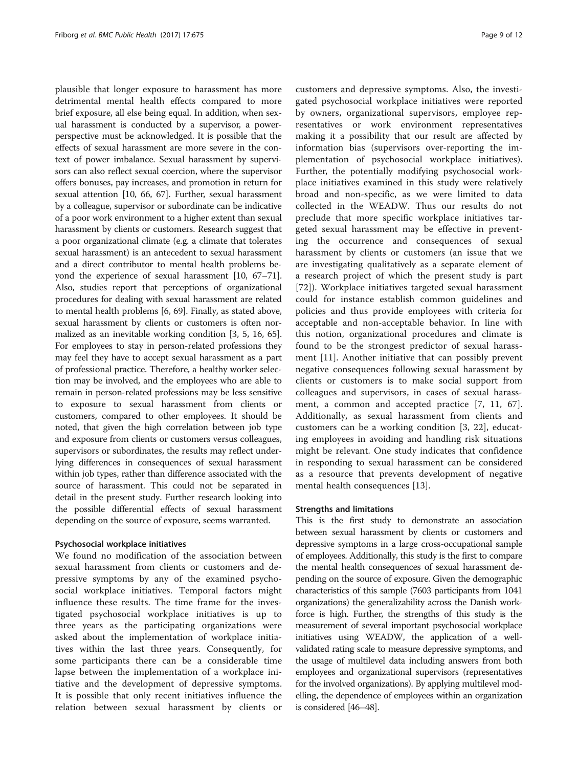plausible that longer exposure to harassment has more detrimental mental health effects compared to more brief exposure, all else being equal. In addition, when sexual harassment is conducted by a supervisor, a powerperspective must be acknowledged. It is possible that the effects of sexual harassment are more severe in the context of power imbalance. Sexual harassment by supervisors can also reflect sexual coercion, where the supervisor offers bonuses, pay increases, and promotion in return for sexual attention [\[10,](#page-10-0) [66, 67\]](#page-11-0). Further, sexual harassment by a colleague, supervisor or subordinate can be indicative of a poor work environment to a higher extent than sexual harassment by clients or customers. Research suggest that a poor organizational climate (e.g. a climate that tolerates sexual harassment) is an antecedent to sexual harassment and a direct contributor to mental health problems beyond the experience of sexual harassment [\[10](#page-10-0), [67](#page-11-0)–[71](#page-11-0)]. Also, studies report that perceptions of organizational procedures for dealing with sexual harassment are related to mental health problems [\[6,](#page-10-0) [69](#page-11-0)]. Finally, as stated above, sexual harassment by clients or customers is often normalized as an inevitable working condition [\[3](#page-10-0), [5, 16,](#page-10-0) [65](#page-11-0)]. For employees to stay in person-related professions they may feel they have to accept sexual harassment as a part of professional practice. Therefore, a healthy worker selection may be involved, and the employees who are able to remain in person-related professions may be less sensitive to exposure to sexual harassment from clients or customers, compared to other employees. It should be noted, that given the high correlation between job type and exposure from clients or customers versus colleagues, supervisors or subordinates, the results may reflect underlying differences in consequences of sexual harassment within job types, rather than difference associated with the source of harassment. This could not be separated in detail in the present study. Further research looking into the possible differential effects of sexual harassment depending on the source of exposure, seems warranted.

# Psychosocial workplace initiatives

We found no modification of the association between sexual harassment from clients or customers and depressive symptoms by any of the examined psychosocial workplace initiatives. Temporal factors might influence these results. The time frame for the investigated psychosocial workplace initiatives is up to three years as the participating organizations were asked about the implementation of workplace initiatives within the last three years. Consequently, for some participants there can be a considerable time lapse between the implementation of a workplace initiative and the development of depressive symptoms. It is possible that only recent initiatives influence the relation between sexual harassment by clients or

customers and depressive symptoms. Also, the investigated psychosocial workplace initiatives were reported by owners, organizational supervisors, employee representatives or work environment representatives making it a possibility that our result are affected by information bias (supervisors over-reporting the implementation of psychosocial workplace initiatives). Further, the potentially modifying psychosocial workplace initiatives examined in this study were relatively broad and non-specific, as we were limited to data collected in the WEADW. Thus our results do not preclude that more specific workplace initiatives targeted sexual harassment may be effective in preventing the occurrence and consequences of sexual harassment by clients or customers (an issue that we are investigating qualitatively as a separate element of a research project of which the present study is part [[72\]](#page-11-0)). Workplace initiatives targeted sexual harassment could for instance establish common guidelines and policies and thus provide employees with criteria for acceptable and non-acceptable behavior. In line with this notion, organizational procedures and climate is found to be the strongest predictor of sexual harassment [\[11](#page-10-0)]. Another initiative that can possibly prevent negative consequences following sexual harassment by clients or customers is to make social support from colleagues and supervisors, in cases of sexual harassment, a common and accepted practice [\[7](#page-10-0), [11](#page-10-0), [67](#page-11-0)]. Additionally, as sexual harassment from clients and customers can be a working condition [[3, 22](#page-10-0)], educating employees in avoiding and handling risk situations might be relevant. One study indicates that confidence in responding to sexual harassment can be considered as a resource that prevents development of negative mental health consequences [\[13](#page-10-0)].

### Strengths and limitations

This is the first study to demonstrate an association between sexual harassment by clients or customers and depressive symptoms in a large cross-occupational sample of employees. Additionally, this study is the first to compare the mental health consequences of sexual harassment depending on the source of exposure. Given the demographic characteristics of this sample (7603 participants from 1041 organizations) the generalizability across the Danish workforce is high. Further, the strengths of this study is the measurement of several important psychosocial workplace initiatives using WEADW, the application of a wellvalidated rating scale to measure depressive symptoms, and the usage of multilevel data including answers from both employees and organizational supervisors (representatives for the involved organizations). By applying multilevel modelling, the dependence of employees within an organization is considered [\[46](#page-11-0)–[48\]](#page-11-0).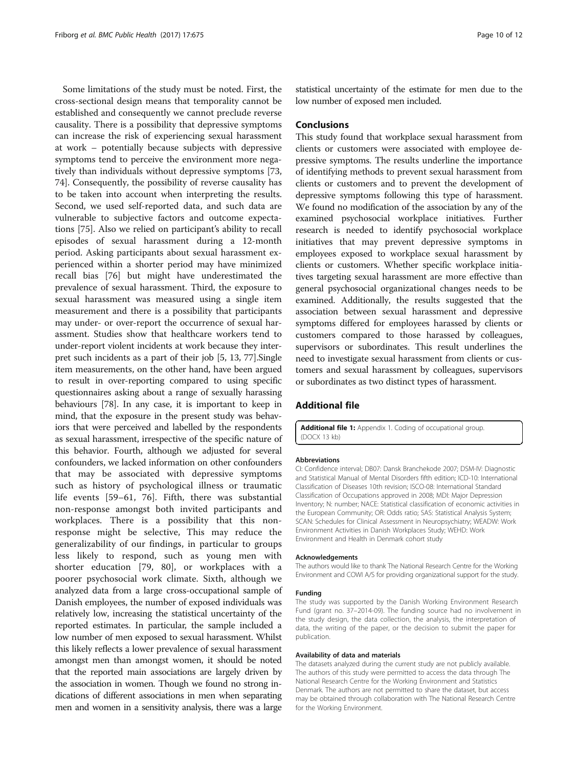<span id="page-9-0"></span>Some limitations of the study must be noted. First, the cross-sectional design means that temporality cannot be established and consequently we cannot preclude reverse causality. There is a possibility that depressive symptoms can increase the risk of experiencing sexual harassment at work – potentially because subjects with depressive symptoms tend to perceive the environment more negatively than individuals without depressive symptoms [[73](#page-11-0), [74\]](#page-11-0). Consequently, the possibility of reverse causality has to be taken into account when interpreting the results. Second, we used self-reported data, and such data are vulnerable to subjective factors and outcome expectations [\[75\]](#page-11-0). Also we relied on participant's ability to recall episodes of sexual harassment during a 12-month period. Asking participants about sexual harassment experienced within a shorter period may have minimized recall bias [\[76](#page-11-0)] but might have underestimated the prevalence of sexual harassment. Third, the exposure to sexual harassment was measured using a single item measurement and there is a possibility that participants may under- or over-report the occurrence of sexual harassment. Studies show that healthcare workers tend to under-report violent incidents at work because they interpret such incidents as a part of their job [[5](#page-10-0), [13](#page-10-0), [77](#page-11-0)].Single item measurements, on the other hand, have been argued to result in over-reporting compared to using specific questionnaires asking about a range of sexually harassing behaviours [\[78](#page-11-0)]. In any case, it is important to keep in mind, that the exposure in the present study was behaviors that were perceived and labelled by the respondents as sexual harassment, irrespective of the specific nature of this behavior. Fourth, although we adjusted for several confounders, we lacked information on other confounders that may be associated with depressive symptoms such as history of psychological illness or traumatic life events [[59](#page-11-0)–[61, 76](#page-11-0)]. Fifth, there was substantial non-response amongst both invited participants and workplaces. There is a possibility that this nonresponse might be selective, This may reduce the generalizability of our findings, in particular to groups less likely to respond, such as young men with shorter education [[79](#page-11-0), [80](#page-11-0)], or workplaces with a poorer psychosocial work climate. Sixth, although we analyzed data from a large cross-occupational sample of Danish employees, the number of exposed individuals was relatively low, increasing the statistical uncertainty of the reported estimates. In particular, the sample included a low number of men exposed to sexual harassment. Whilst this likely reflects a lower prevalence of sexual harassment amongst men than amongst women, it should be noted that the reported main associations are largely driven by the association in women. Though we found no strong indications of different associations in men when separating men and women in a sensitivity analysis, there was a large

statistical uncertainty of the estimate for men due to the low number of exposed men included.

# Conclusions

This study found that workplace sexual harassment from clients or customers were associated with employee depressive symptoms. The results underline the importance of identifying methods to prevent sexual harassment from clients or customers and to prevent the development of depressive symptoms following this type of harassment. We found no modification of the association by any of the examined psychosocial workplace initiatives. Further research is needed to identify psychosocial workplace initiatives that may prevent depressive symptoms in employees exposed to workplace sexual harassment by clients or customers. Whether specific workplace initiatives targeting sexual harassment are more effective than general psychosocial organizational changes needs to be examined. Additionally, the results suggested that the association between sexual harassment and depressive symptoms differed for employees harassed by clients or customers compared to those harassed by colleagues, supervisors or subordinates. This result underlines the need to investigate sexual harassment from clients or customers and sexual harassment by colleagues, supervisors or subordinates as two distinct types of harassment.

# Additional file

[Additional file 1:](dx.doi.org/10.1186/s12889-017-4669-x) Appendix 1. Coding of occupational group. (DOCX 13 kb)

#### Abbreviations

CI: Confidence interval; DB07: Dansk Branchekode 2007; DSM-IV: Diagnostic and Statistical Manual of Mental Disorders fifth edition; ICD-10: International Classification of Diseases 10th revision; ISCO-08: International Standard Classification of Occupations approved in 2008; MDI: Major Depression Inventory; N: number; NACE: Statistical classification of economic activities in the European Community; OR: Odds ratio; SAS: Statistical Analysis System; SCAN: Schedules for Clinical Assessment in Neuropsychiatry; WEADW: Work Environment Activities in Danish Workplaces Study; WEHD: Work Environment and Health in Denmark cohort study

#### Acknowledgements

The authors would like to thank The National Research Centre for the Working Environment and COWI A/S for providing organizational support for the study.

#### Funding

The study was supported by the Danish Working Environment Research Fund (grant no. 37–2014-09). The funding source had no involvement in the study design, the data collection, the analysis, the interpretation of data, the writing of the paper, or the decision to submit the paper for publication.

### Availability of data and materials

The datasets analyzed during the current study are not publicly available. The authors of this study were permitted to access the data through The National Research Centre for the Working Environment and Statistics Denmark. The authors are not permitted to share the dataset, but access may be obtained through collaboration with The National Research Centre for the Working Environment.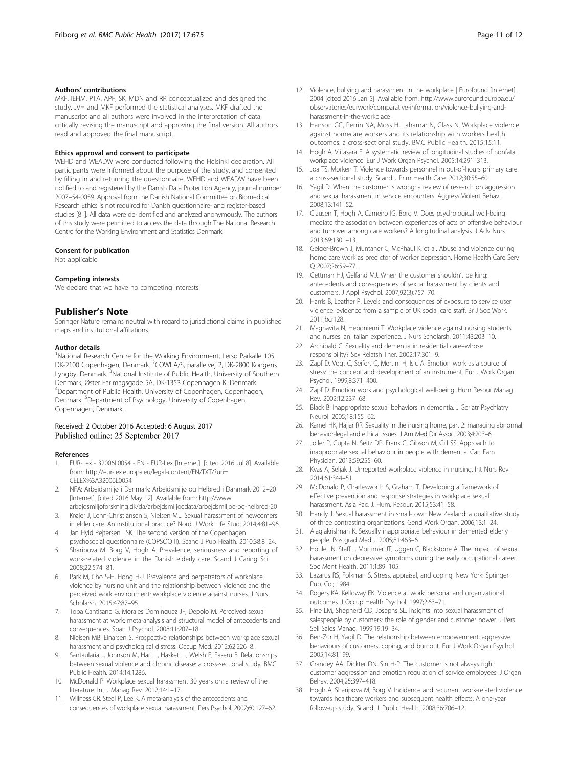## <span id="page-10-0"></span>Authors' contributions

MKF, IEHM, PTA, APF, SK, MDN and RR conceptualized and designed the study. JVH and MKF performed the statistical analyses. MKF drafted the manuscript and all authors were involved in the interpretation of data, critically revising the manuscript and approving the final version. All authors read and approved the final manuscript.

### Ethics approval and consent to participate

WEHD and WEADW were conducted following the Helsinki declaration. All participants were informed about the purpose of the study, and consented by filling in and returning the questionnaire. WEHD and WEADW have been notified to and registered by the Danish Data Protection Agency, journal number 2007–54-0059. Approval from the Danish National Committee on Biomedical Research Ethics is not required for Danish questionnaire- and register-based studies [\[81](#page-11-0)]. All data were de-identified and analyzed anonymously. The authors of this study were permitted to access the data through The National Research Centre for the Working Environment and Statistics Denmark.

#### Consent for publication

Not applicable.

### Competing interests

We declare that we have no competing interests.

# Publisher's Note

Springer Nature remains neutral with regard to jurisdictional claims in published maps and institutional affiliations.

#### Author details

<sup>1</sup>National Research Centre for the Working Environment, Lerso Parkalle 105, DK-2100 Copenhagen, Denmark. <sup>2</sup>COWI A/S, parallelvej 2, DK-2800 Kongens Lyngby, Denmark. <sup>3</sup>National Institute of Public Health, University of Southern Denmark, Øster Farimagsgade 5A, DK-1353 Copenhagen K, Denmark. 4 Department of Public Health, University of Copenhagen, Copenhagen, Denmark. <sup>5</sup>Department of Psychology, University of Copenhagen, Copenhagen, Denmark.

### Received: 2 October 2016 Accepted: 6 August 2017 Published online: 25 September 2017

#### References

- 1. EUR-Lex 32006L0054 EN EUR-Lex [Internet]. [cited 2016 Jul 8]. Available from: [http://eur-lex.europa.eu/legal-content/EN/TXT/?uri=](http://eur-lex.europa.eu/legal-content/EN/TXT/?uri=CELEX%3A32006L0054) [CELEX%3A32006L0054](http://eur-lex.europa.eu/legal-content/EN/TXT/?uri=CELEX%3A32006L0054)
- 2. NFA: Arbejdsmiljø i Danmark: Arbejdsmiljø og Helbred i Danmark 2012–20 [Internet]. [cited 2016 May 12]. Available from: [http://www.](http://www.arbejdsmiljoforskning.dk/da/arbejdsmiljoedata/arbejdsmiljoe-og-helbred-20)
- [arbejdsmiljoforskning.dk/da/arbejdsmiljoedata/arbejdsmiljoe-og-helbred-20](http://www.arbejdsmiljoforskning.dk/da/arbejdsmiljoedata/arbejdsmiljoe-og-helbred-20) 3. Krøjer J, Lehn-Christiansen S, Nielsen ML. Sexual harassment of newcomers in elder care. An institutional practice? Nord. J Work Life Stud. 2014;4:81–96.
- 4. Jan Hyld Pejtersen TSK. The second version of the Copenhagen
- psychosocial questionnaire (COPSOQ II). Scand J Pub Health. 2010;38:8–24. 5. Sharipova M, Borg V, Hogh A. Prevalence, seriousness and reporting of work-related violence in the Danish elderly care. Scand J Caring Sci. 2008;22:574–81.
- 6. Park M, Cho S-H, Hong H-J. Prevalence and perpetrators of workplace violence by nursing unit and the relationship between violence and the perceived work environment: workplace violence against nurses. J Nurs Scholarsh. 2015;47:87–95.
- 7. Topa Cantisano G, Morales Domínguez JF, Depolo M. Perceived sexual harassment at work: meta-analysis and structural model of antecedents and consequences. Span J Psychol. 2008;11:207–18.
- 8. Nielsen MB, Einarsen S. Prospective relationships between workplace sexual harassment and psychological distress. Occup Med. 2012;62:226–8.
- 9. Santaularia J, Johnson M, Hart L, Haskett L, Welsh E, Faseru B. Relationships between sexual violence and chronic disease: a cross-sectional study. BMC Public Health. 2014;14:1286.
- 10. McDonald P. Workplace sexual harassment 30 years on: a review of the literature. Int J Manag Rev. 2012;14:1–17.
- 11. Willness CR, Steel P, Lee K. A meta-analysis of the antecedents and consequences of workplace sexual harassment. Pers Psychol. 2007;60:127–62.
- 12. Violence, bullying and harassment in the workplace | Eurofound [Internet]. 2004 [cited 2016 Jan 5]. Available from: [http://www.eurofound.europa.eu/](http://www.eurofound.europa.eu/observatories/eurwork/comparative-information/violence-bullying-and-harassment-in-the-workplace) [observatories/eurwork/comparative-information/violence-bullying-and](http://www.eurofound.europa.eu/observatories/eurwork/comparative-information/violence-bullying-and-harassment-in-the-workplace)[harassment-in-the-workplace](http://www.eurofound.europa.eu/observatories/eurwork/comparative-information/violence-bullying-and-harassment-in-the-workplace)
- 13. Hanson GC, Perrin NA, Moss H, Laharnar N, Glass N. Workplace violence against homecare workers and its relationship with workers health outcomes: a cross-sectional study. BMC Public Health. 2015;15:11.
- 14. Hogh A, Viitasara E. A systematic review of longitudinal studies of nonfatal workplace violence. Eur J Work Organ Psychol. 2005;14:291–313.
- 15. Joa TS, Morken T. Violence towards personnel in out-of-hours primary care: a cross-sectional study. Scand J Prim Health Care. 2012;30:55–60.
- 16. Yagil D. When the customer is wrong: a review of research on aggression and sexual harassment in service encounters. Aggress Violent Behav. 2008;13:141–52.
- 17. Clausen T, Hogh A, Carneiro IG, Borg V. Does psychological well-being mediate the association between experiences of acts of offensive behaviour and turnover among care workers? A longitudinal analysis. J Adv Nurs. 2013;69:1301–13.
- 18. Geiger-Brown J, Muntaner C, McPhaul K, et al. Abuse and violence during home care work as predictor of worker depression. Home Health Care Serv Q 2007;26:59–77.
- 19. Gettman HJ, Gelfand MJ. When the customer shouldn't be king: antecedents and consequences of sexual harassment by clients and customers. J Appl Psychol. 2007;92(3):757–70.
- 20. Harris B, Leather P. Levels and consequences of exposure to service user violence: evidence from a sample of UK social care staff. Br J Soc Work. 2011;bcr128.
- 21. Magnavita N, Heponiemi T. Workplace violence against nursing students and nurses: an Italian experience. J Nurs Scholarsh. 2011;43:203–10.
- 22. Archibald C. Sexuality and dementia in residential care–whose responsibility? Sex Relatsh Ther. 2002;17:301–9.
- 23. Zapf D, Vogt C, Seifert C, Mertini H, Isic A. Emotion work as a source of stress: the concept and development of an instrument. Eur J Work Organ Psychol. 1999;8:371–400.
- 24. Zapf D. Emotion work and psychological well-being. Hum Resour Manag Rev. 2002;12:237–68.
- 25. Black B. Inappropriate sexual behaviors in dementia. J Geriatr Psychiatry Neurol. 2005;18:155–62.
- 26. Kamel HK, Hajjar RR. Sexuality in the nursing home, part 2: managing abnormal behavior-legal and ethical issues. J Am Med Dir Assoc. 2003;4:203–6.
- 27. Joller P, Gupta N, Seitz DP, Frank C, Gibson M, Gill SS. Approach to inappropriate sexual behaviour in people with dementia. Can Fam Physician. 2013;59:255–60.
- 28. Kvas A, Seljak J. Unreported workplace violence in nursing. Int Nurs Rev. 2014;61:344–51.
- 29. McDonald P, Charlesworth S, Graham T. Developing a framework of effective prevention and response strategies in workplace sexual harassment. Asia Pac. J. Hum. Resour. 2015;53:41–58.
- 30. Handy J. Sexual harassment in small-town New Zealand: a qualitative study of three contrasting organizations. Gend Work Organ. 2006;13:1–24.
- 31. Alagiakrishnan K. Sexually inappropriate behaviour in demented elderly people. Postgrad Med J. 2005;81:463–6.
- 32. Houle JN, Staff J, Mortimer JT, Uggen C, Blackstone A. The impact of sexual harassment on depressive symptoms during the early occupational career. Soc Ment Health. 2011;1:89–105.
- 33. Lazarus RS, Folkman S. Stress, appraisal, and coping. New York: Springer Pub. Co.; 1984.
- 34. Rogers KA, Kelloway EK. Violence at work: personal and organizational outcomes. J Occup Health Psychol. 1997;2:63–71.
- 35. Fine LM, Shepherd CD, Josephs SL. Insights into sexual harassment of salespeople by customers: the role of gender and customer power. J Pers Sell Sales Manag. 1999;19:19–34.
- 36. Ben-Zur H, Yagil D. The relationship between empowerment, aggressive behaviours of customers, coping, and burnout. Eur J Work Organ Psychol. 2005;14:81–99.
- 37. Grandey AA, Dickter DN, Sin H-P. The customer is not always right: customer aggression and emotion regulation of service employees. J Organ Behav. 2004;25:397–418.
- 38. Hogh A, Sharipova M, Borg V. Incidence and recurrent work-related violence towards healthcare workers and subsequent health effects. A one-year follow-up study. Scand. J. Public Health. 2008;36:706–12.